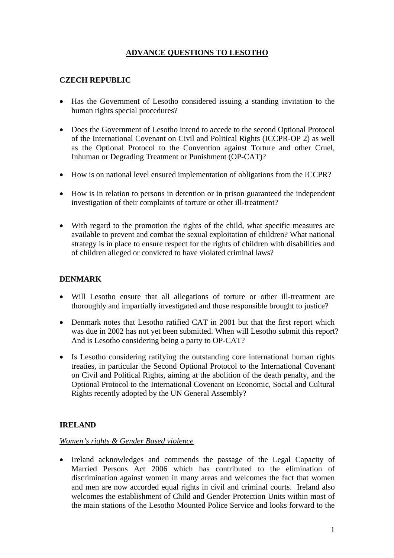# **ADVANCE QUESTIONS TO LESOTHO**

## **CZECH REPUBLIC**

- Has the Government of Lesotho considered issuing a standing invitation to the human rights special procedures?
- Does the Government of Lesotho intend to accede to the second Optional Protocol of the International Covenant on Civil and Political Rights (ICCPR-OP 2) as well as the Optional Protocol to the Convention against Torture and other Cruel, Inhuman or Degrading Treatment or Punishment (OP-CAT)?
- How is on national level ensured implementation of obligations from the ICCPR?
- How is in relation to persons in detention or in prison guaranteed the independent investigation of their complaints of torture or other ill-treatment?
- With regard to the promotion the rights of the child, what specific measures are available to prevent and combat the sexual exploitation of children? What national strategy is in place to ensure respect for the rights of children with disabilities and of children alleged or convicted to have violated criminal laws?

# **DENMARK**

- Will Lesotho ensure that all allegations of torture or other ill-treatment are thoroughly and impartially investigated and those responsible brought to justice?
- Denmark notes that Lesotho ratified CAT in 2001 but that the first report which was due in 2002 has not yet been submitted. When will Lesotho submit this report? And is Lesotho considering being a party to OP-CAT?
- Is Lesotho considering ratifying the outstanding core international human rights treaties, in particular the Second Optional Protocol to the International Covenant on Civil and Political Rights, aiming at the abolition of the death penalty, and the Optional Protocol to the International Covenant on Economic, Social and Cultural Rights recently adopted by the UN General Assembly?

## **IRELAND**

#### *Women's rights & Gender Based violence*

• Ireland acknowledges and commends the passage of the Legal Capacity of Married Persons Act 2006 which has contributed to the elimination of discrimination against women in many areas and welcomes the fact that women and men are now accorded equal rights in civil and criminal courts. Ireland also welcomes the establishment of Child and Gender Protection Units within most of the main stations of the Lesotho Mounted Police Service and looks forward to the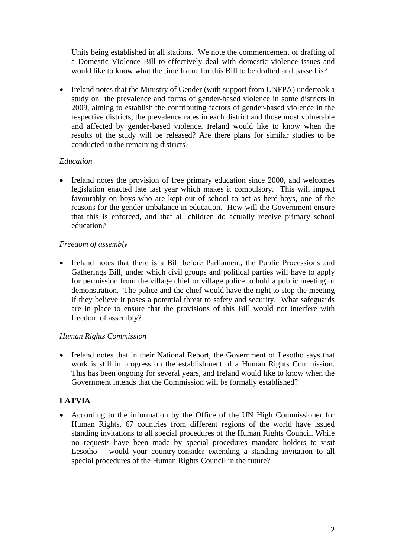Units being established in all stations. We note the commencement of drafting of a Domestic Violence Bill to effectively deal with domestic violence issues and would like to know what the time frame for this Bill to be drafted and passed is?

• Ireland notes that the Ministry of Gender (with support from UNFPA) undertook a study on the prevalence and forms of gender-based violence in some districts in 2009, aiming to establish the contributing factors of gender-based violence in the respective districts, the prevalence rates in each district and those most vulnerable and affected by gender-based violence. Ireland would like to know when the results of the study will be released? Are there plans for similar studies to be conducted in the remaining districts?

## *Education*

• Ireland notes the provision of free primary education since 2000, and welcomes legislation enacted late last year which makes it compulsory. This will impact favourably on boys who are kept out of school to act as herd-boys, one of the reasons for the gender imbalance in education. How will the Government ensure that this is enforced, and that all children do actually receive primary school education?

### *Freedom of assembly*

• Ireland notes that there is a Bill before Parliament, the Public Processions and Gatherings Bill, under which civil groups and political parties will have to apply for permission from the village chief or village police to hold a public meeting or demonstration. The police and the chief would have the right to stop the meeting if they believe it poses a potential threat to safety and security. What safeguards are in place to ensure that the provisions of this Bill would not interfere with freedom of assembly?

#### *Human Rights Commission*

• Ireland notes that in their National Report, the Government of Lesotho says that work is still in progress on the establishment of a Human Rights Commission. This has been ongoing for several years, and Ireland would like to know when the Government intends that the Commission will be formally established?

## **LATVIA**

• According to the information by the Office of the UN High Commissioner for Human Rights, 67 countries from different regions of the world have issued standing invitations to all special procedures of the Human Rights Council. While no requests have been made by special procedures mandate holders to visit Lesotho – would your country consider extending a standing invitation to all special procedures of the Human Rights Council in the future?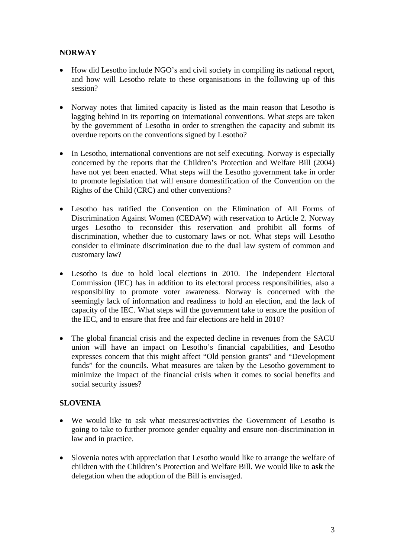## **NORWAY**

- How did Lesotho include NGO's and civil society in compiling its national report, and how will Lesotho relate to these organisations in the following up of this session?
- Norway notes that limited capacity is listed as the main reason that Lesotho is lagging behind in its reporting on international conventions. What steps are taken by the government of Lesotho in order to strengthen the capacity and submit its overdue reports on the conventions signed by Lesotho?
- In Lesotho, international conventions are not self executing. Norway is especially concerned by the reports that the Children's Protection and Welfare Bill (2004) have not yet been enacted. What steps will the Lesotho government take in order to promote legislation that will ensure domestification of the Convention on the Rights of the Child (CRC) and other conventions?
- Lesotho has ratified the Convention on the Elimination of All Forms of Discrimination Against Women (CEDAW) with reservation to Article 2. Norway urges Lesotho to reconsider this reservation and prohibit all forms of discrimination, whether due to customary laws or not. What steps will Lesotho consider to eliminate discrimination due to the dual law system of common and customary law?
- Lesotho is due to hold local elections in 2010. The Independent Electoral Commission (IEC) has in addition to its electoral process responsibilities, also a responsibility to promote voter awareness. Norway is concerned with the seemingly lack of information and readiness to hold an election, and the lack of capacity of the IEC. What steps will the government take to ensure the position of the IEC, and to ensure that free and fair elections are held in 2010?
- The global financial crisis and the expected decline in revenues from the SACU union will have an impact on Lesotho's financial capabilities, and Lesotho expresses concern that this might affect "Old pension grants" and "Development funds" for the councils. What measures are taken by the Lesotho government to minimize the impact of the financial crisis when it comes to social benefits and social security issues?

#### **SLOVENIA**

- We would like to ask what measures/activities the Government of Lesotho is going to take to further promote gender equality and ensure non-discrimination in law and in practice.
- Slovenia notes with appreciation that Lesotho would like to arrange the welfare of children with the Children's Protection and Welfare Bill. We would like to **ask** the delegation when the adoption of the Bill is envisaged.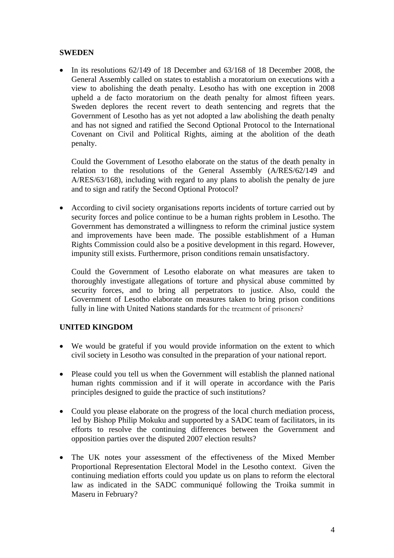#### **SWEDEN**

• In its resolutions 62/149 of 18 December and 63/168 of 18 December 2008, the General Assembly called on states to establish a moratorium on executions with a view to abolishing the death penalty. Lesotho has with one exception in 2008 upheld a de facto moratorium on the death penalty for almost fifteen years. Sweden deplores the recent revert to death sentencing and regrets that the Government of Lesotho has as yet not adopted a law abolishing the death penalty and has not signed and ratified the Second Optional Protocol to the International Covenant on Civil and Political Rights, aiming at the abolition of the death penalty.

Could the Government of Lesotho elaborate on the status of the death penalty in relation to the resolutions of the General Assembly (A/RES/62/149 and A/RES/63/168), including with regard to any plans to abolish the penalty de jure and to sign and ratify the Second Optional Protocol?

• According to civil society organisations reports incidents of torture carried out by security forces and police continue to be a human rights problem in Lesotho. The Government has demonstrated a willingness to reform the criminal justice system and improvements have been made. The possible establishment of a Human Rights Commission could also be a positive development in this regard. However, impunity still exists. Furthermore, prison conditions remain unsatisfactory.

Could the Government of Lesotho elaborate on what measures are taken to thoroughly investigate allegations of torture and physical abuse committed by security forces, and to bring all perpetrators to justice. Also, could the Government of Lesotho elaborate on measures taken to bring prison conditions fully in line with United Nations standards for the treatment of prisoners?

#### **UNITED KINGDOM**

- We would be grateful if you would provide information on the extent to which civil society in Lesotho was consulted in the preparation of your national report.
- Please could you tell us when the Government will establish the planned national human rights commission and if it will operate in accordance with the Paris principles designed to guide the practice of such institutions?
- Could you please elaborate on the progress of the local church mediation process, led by Bishop Philip Mokuku and supported by a SADC team of facilitators, in its efforts to resolve the continuing differences between the Government and opposition parties over the disputed 2007 election results?
- The UK notes your assessment of the effectiveness of the Mixed Member Proportional Representation Electoral Model in the Lesotho context. Given the continuing mediation efforts could you update us on plans to reform the electoral law as indicated in the SADC communiqué following the Troika summit in Maseru in February?